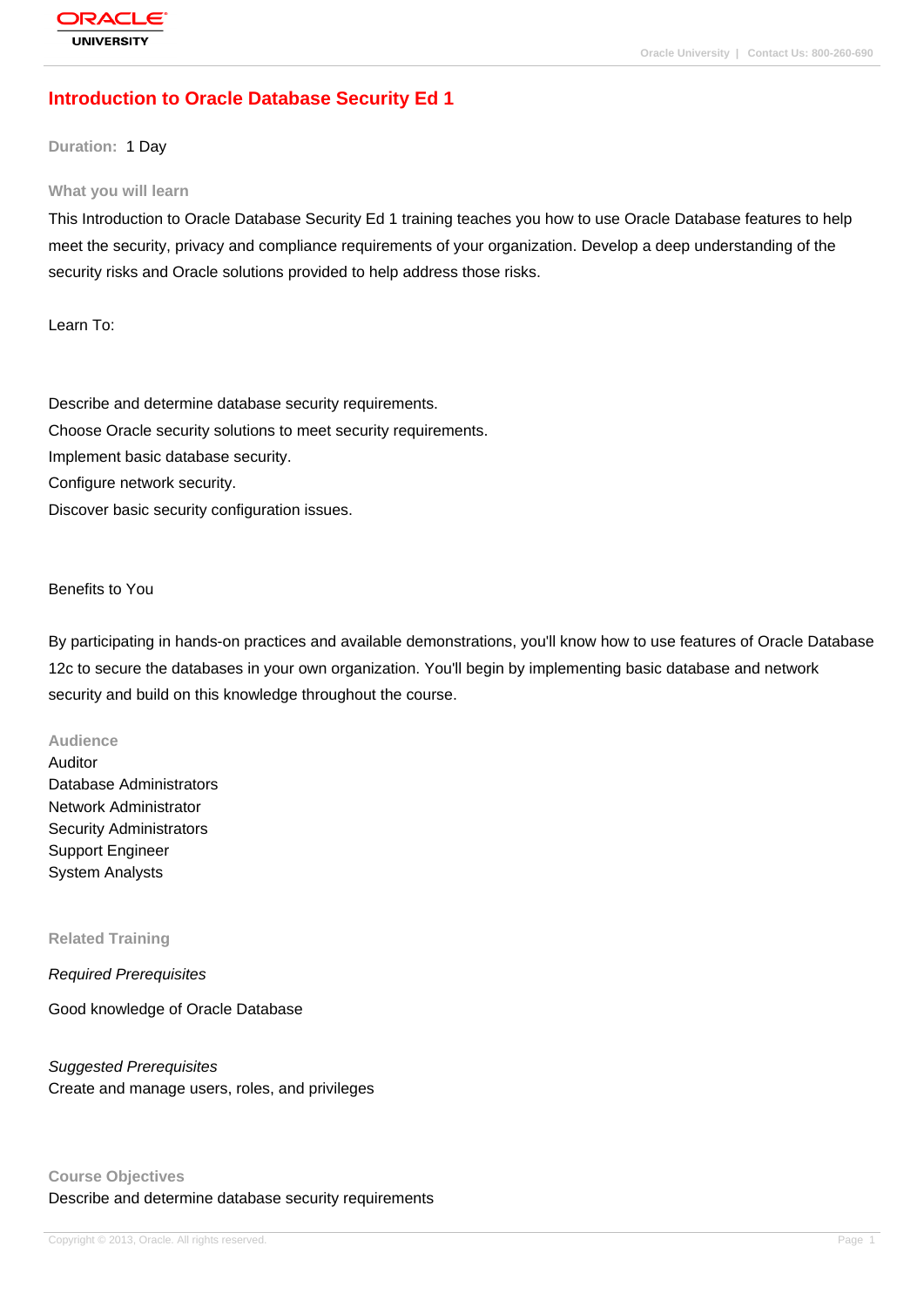# **[Introduction to](http://education.oracle.com/pls/web_prod-plq-dad/db_pages.getpage?page_id=3) Oracle Database Security Ed 1**

**Duration:** 1 Day

#### **What you will learn**

This Introduction to Oracle Database Security Ed 1 training teaches you how to use Oracle Database features to help meet the security, privacy and compliance requirements of your organization. Develop a deep understanding of the security risks and Oracle solutions provided to help address those risks.

Learn To:

Describe and determine database security requirements. Choose Oracle security solutions to meet security requirements. Implement basic database security. Configure network security. Discover basic security configuration issues.

Benefits to You

By participating in hands-on practices and available demonstrations, you'll know how to use features of Oracle Database 12c to secure the databases in your own organization. You'll begin by implementing basic database and network security and build on this knowledge throughout the course.

#### **Audience**

Auditor Database Administrators Network Administrator Security Administrators Support Engineer System Analysts

#### **Related Training**

Required Prerequisites

Good knowledge of Oracle Database

Suggested Prerequisites Create and manage users, roles, and privileges

## **Course Objectives** Describe and determine database security requirements